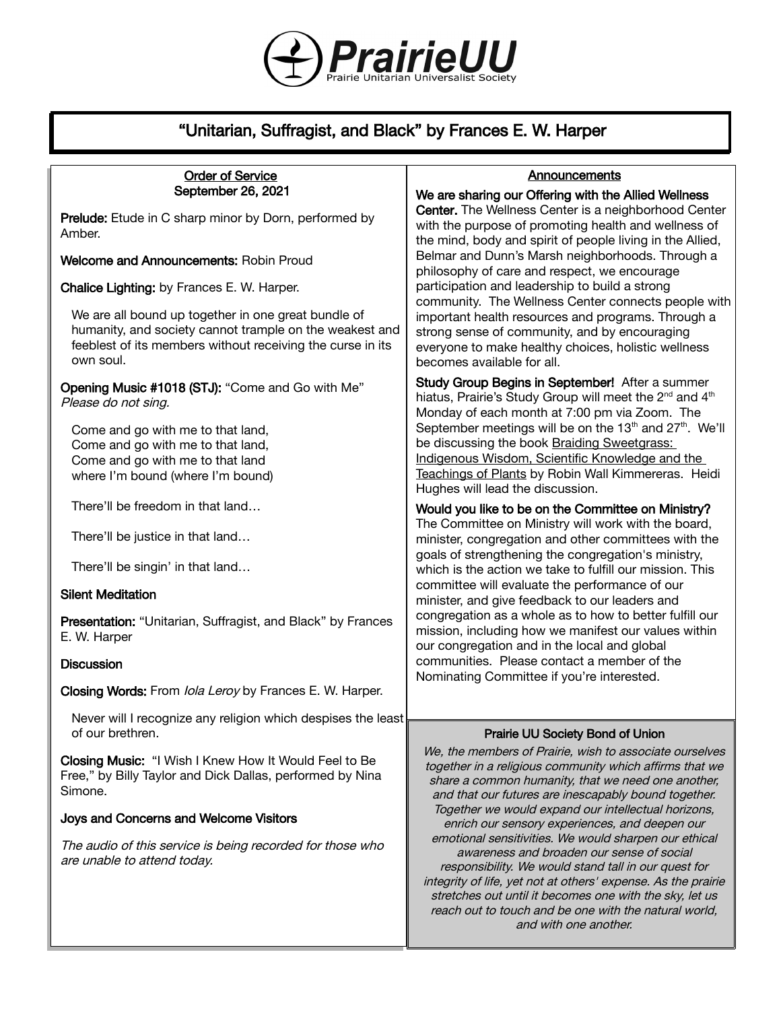

# "Unitarian, Suffragist, and Black" by Frances E. W. Harper

### Order of Service September 26, 2021

Prelude: Etude in C sharp minor by Dorn, performed by Amber.

Welcome and Announcements: Robin Proud

Chalice Lighting: by Frances E. W. Harper.

We are all bound up together in one great bundle of humanity, and society cannot trample on the weakest and feeblest of its members without receiving the curse in its own soul.

Opening Music #1018 (STJ): "Come and Go with Me" Please do not sing.

Come and go with me to that land, Come and go with me to that land, Come and go with me to that land where I'm bound (where I'm bound)

There'll be freedom in that land…

There'll be justice in that land…

There'll be singin' in that land…

### Silent Meditation

Presentation: "Unitarian, Suffragist, and Black" by Frances E. W. Harper

#### **Discussion**

Closing Words: From Iola Leroy by Frances E. W. Harper.

Never will I recognize any religion which despises the least of our brethren.

Closing Music: "I Wish I Knew How It Would Feel to Be Free," by Billy Taylor and Dick Dallas, performed by Nina Simone.

### Joys and Concerns and Welcome Visitors

The audio of this service is being recorded for those who are unable to attend today.

### **Announcements**

We are sharing our Offering with the Allied Wellness Center. The Wellness Center is a neighborhood Center with the purpose of promoting health and wellness of the mind, body and spirit of people living in the Allied, Belmar and Dunn's Marsh neighborhoods. Through a philosophy of care and respect, we encourage participation and leadership to build a strong community. The Wellness Center connects people with important health resources and programs. Through a strong sense of community, and by encouraging everyone to make healthy choices, holistic wellness becomes available for all.

Study Group Begins in September! After a summer hiatus, Prairie's Study Group will meet the 2<sup>nd</sup> and 4<sup>th</sup> Monday of each month at 7:00 pm via Zoom. The September meetings will be on the  $13<sup>th</sup>$  and  $27<sup>th</sup>$ . We'll be discussing the book Braiding Sweetgrass: Indigenous Wisdom, Scientific Knowledge and the Teachings of Plants by Robin Wall Kimmereras. Heidi Hughes will lead the discussion.

### Would you like to be on the Committee on Ministry?

The Committee on Ministry will work with the board, minister, congregation and other committees with the goals of strengthening the congregation's ministry, which is the action we take to fulfill our mission. This committee will evaluate the performance of our minister, and give feedback to our leaders and congregation as a whole as to how to better fulfill our mission, including how we manifest our values within our congregation and in the local and global communities. Please contact a member of the Nominating Committee if you're interested.

### Prairie UU Society Bond of Union

We, the members of Prairie, wish to associate ourselves together in a religious community which affirms that we share a common humanity, that we need one another, and that our futures are inescapably bound together. Together we would expand our intellectual horizons, enrich our sensory experiences, and deepen our emotional sensitivities. We would sharpen our ethical awareness and broaden our sense of social responsibility. We would stand tall in our quest for integrity of life, yet not at others' expense. As the prairie stretches out until it becomes one with the sky, let us reach out to touch and be one with the natural world, and with one another.